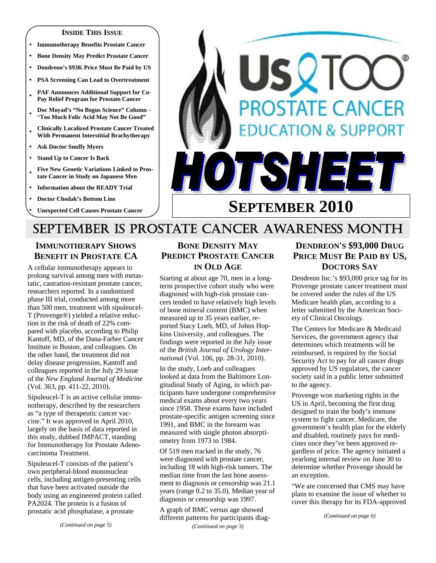#### **INSIDE THIS ISSUE**

- **Immunotherapy Benefits Prostate Cancer**
- y **Bone Density May Predict Prostate Cancer**
- y **Dendreon's \$93K Price Must Be Paid by US**
- **PSA Screening Can Lead to Overtreatment**
- PAF Announces Additional Support for Co-**Pay Relief Program for Prostate Cancer**
- <sup>y</sup>**Doc Moyad's "No Bogus Science" Column**  "**Too Much Folic Acid May Not Be Good"**
- <sup>y</sup>**Clinically Localized Prostate Cancer Treated With Permanent Interstitial Brachytherapy**
- **Ask Doctor Snuffy Myers**
- **Stand Up to Cancer Is Back**
- **Five New Genetic Variations Linked to Prostate Cancer in Study on Japanese Men**
- **Information about the READY Trial**
- **Doctor Chodak's Bottom Line**
- **Unexpected Cell Causes Prostate Cancer**



# **SEPTEMBER 2010**

# SEPTEMBER IS PROSTATE CANCER AWARENESS MONTH

# **IMMUNOTHERAPY SHOWS BENEFIT IN PROSTATE CA**

A cellular immunotherapy appears to prolong survival among men with metastatic, castration-resistant prostate cancer, researchers reported. In a randomized phase III trial, conducted among more than 500 men, treatment with sipuleucel-T (Provenge®) yielded a relative reduction in the risk of death of 22% compared with placebo, according to Philip Kantoff, MD, of the Dana-Farber Cancer Institute in Boston, and colleagues. On the other hand, the treatment did not delay disease progression, Kantoff and colleagues reported in the July 29 issue of the *New England Journal of Medicine* (Vol. 363, pp. 411-22, 2010).

Sipuleucel-T is an active cellular immunotherapy, described by the researchers as "a type of therapeutic cancer vaccine." It was approved in April 2010, largely on the basis of data reported in this study, dubbed IMPACT, standing for Immunotherapy for Prostate Adenocarcinoma Treatment.

Sipuleucel-T consists of the patient's own peripheral-blood mononuclear cells, including antigen-presenting cells that have been activated outside the body using an engineered protein called PA2024. The protein is a fusion of prostatic acid phosphatase, a prostate

# **BONE DENSITY MAY PREDICT PROSTATE CANCER IN OLD AGE**

Starting at about age 70, men in a longterm prospective cohort study who were diagnosed with high-risk prostate cancers tended to have relatively high levels of bone mineral content (BMC) when measured up to 35 years earlier, reported Stacy Loeb, MD, of Johns Hopkins University, and colleagues. The findings were reported in the July issue of the *British Journal of Urology Internationa*l (Vol. 106, pp. 28-31, 2010).

In the study, Loeb and colleagues looked at data from the Baltimore Longitudinal Study of Aging, in which participants have undergone comprehensive medical exams about every two years since 1958. These exams have included prostate-specific antigen screening since 1991, and BMC in the forearm was measured with single photon absorptiometry from 1973 to 1984.

Of 519 men tracked in the study, 76 were diagnosed with prostate cancer, including 18 with high-risk tumors. The median time from the last bone assessment to diagnosis or censorship was 21.1 years (range 0.2 to 35.0). Median year of diagnosis or censorship was 1997.

A graph of BMC versus age showed different patterns for participants diag- *(Continued on page 3)* 

# **DENDREON'S \$93,000 DRUG PRICE MUST BE PAID BY US, DOCTORS SAY**

Dendreon Inc.'s \$93,000 price tag for its Provenge prostate cancer treatment must be covered under the rules of the US Medicare health plan, according to a letter submitted by the American Society of Clinical Oncology.

The Centers for Medicare & Medicaid Services, the government agency that determines which treatments will be reimbursed, is required by the Social Security Act to pay for all cancer drugs approved by US regulators, the cancer society said in a public letter submitted to the agency.

Provenge won marketing rights in the US in April, becoming the first drug designed to train the body's immune system to fight cancer. Medicare, the government's health plan for the elderly and disabled, routinely pays for medicines once they've been approved regardless of price. The agency initiated a yearlong internal review on June 30 to determine whether Provenge should be an exception.

"We are concerned that CMS may have plans to examine the issue of whether to cover this therapy for its FDA-approved

*(Continued on page 6)*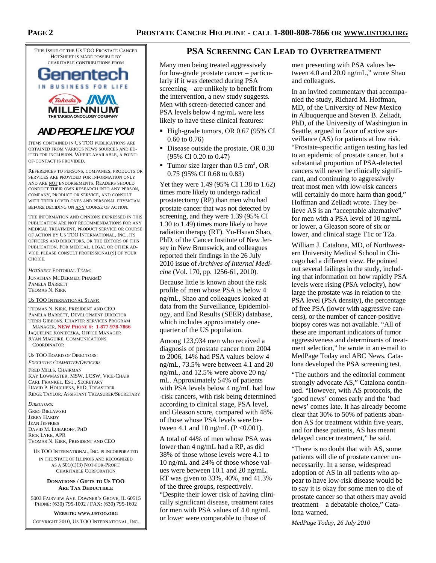THIS ISSUE OF THE US TOO PROSTATE CANCER HOTSHEET IS MADE POSSIBLE BY CHARITABLE CONTRIBUTIONS FROM





## *AND PEOPLE LIKE YOU!*

ITEMS CONTAINED IN US TOO PUBLICATIONS ARE OBTAINED FROM VARIOUS NEWS SOURCES AND ED-ITED FOR INCLUSION. WHERE AVAILABLE, A POINT-OF-CONTACT IS PROVIDED.

REFERENCES TO PERSONS, COMPANIES, PRODUCTS OR SERVICES ARE PROVIDED FOR INFORMATION ONLY AND ARE NOT ENDORSEMENTS. READERS SHOULD CONDUCT THEIR OWN RESEARCH INTO ANY PERSON, COMPANY, PRODUCT OR SERVICE, AND CONSULT WITH THEIR LOVED ONES AND PERSONAL PHYSICIAN BEFORE DECIDING ON ANY COURSE OF ACTION.

THE INFORMATION AND OPINIONS EXPRESSED IN THIS PUBLICATION ARE NOT RECOMMENDATIONS FOR ANY MEDICAL TREATMENT, PRODUCT SERVICE OR COURSE OF ACTION BY US TOO INTERNATIONAL, INC., ITS OFFICERS AND DIRECTORS, OR THE EDITORS OF THIS PUBLICATION. FOR MEDICAL, LEGAL OR OTHER AD-VICE, PLEASE CONSULT PROFESSIONAL(S) OF YOUR CHOICE.

*HOTSHEET* EDITORIAL TEAM: JONATHAN MCDERMED, PHARMD

PAMELA BARRETT THOMAS N. KIRK

#### US TOO INTERNATIONAL STAFF:

THOMAS N. KIRK, PRESIDENT AND CEO PAMELA BARRETT, DEVELOPMENT DIRECTOR TERRI GIBBONS, CHAPTER SERVICES PROGRAM

 MANAGER, **NEW PHONE #: 1-877-978-7866** JAQUELINE KONIECZKA, OFFICE MANAGER RYAN MAGUIRE, COMMUNICATIONS **COORDINATOR** 

#### US TOO BOARD OF DIRECTORS:

*EXECUTIVE COMMITTEE/OFFICERS* FRED MILLS, CHAIRMAN KAY LOWMASTER, MSW, LCSW, VICE-CHAIR CARL FRANKEL, ESQ., SECRETARY DAVID P. HOUCHENS, PHD, TREASURER RIDGE TAYLOR, ASSISTANT TREASURER/SECRETARY

*DIRECTORS:*  GREG BIELAWSKI JERRY HARDY JEAN JEFFRIES DAVID M. LUBAROFF, PHD RICK LYKE, APR THOMAS N. KIRK, PRESIDENT AND CEO

US TOO INTERNATIONAL, INC. IS INCORPORATED IN THE STATE OF ILLINOIS AND RECOGNIZED AS A 501(C)(3) NOT-FOR-PROFIT CHARITABLE CORPORATION

#### **DONATIONS / GIFTS TO US TOO ARE TAX DEDUCTIBLE**

5003 FAIRVIEW AVE. DOWNER'S GROVE, IL 60515 PHONE: (630) 795-1002 / FAX: (630) 795-1602

**WEBSITE: WWW.USTOO.ORG** COPYRIGHT 2010, US TOO INTERNATIONAL, INC.

## **PSA SCREENING CAN LEAD TO OVERTREATMENT**

Many men being treated aggressively for low-grade prostate cancer – particularly if it was detected during PSA screening – are unlikely to benefit from the intervention, a new study suggests. Men with screen-detected cancer and PSA levels below 4 ng/mL were less likely to have these clinical features:

- High-grade tumors, OR 0.67 (95% CI 0.60 to 0.76)
- Disease outside the prostate, OR 0.30 (95% CI 0.20 to 0.47)
- Tumor size larger than  $0.5 \text{ cm}^3$ , OR 0.75 (95% CI 0.68 to 0.83)

Yet they were 1.49 (95% CI 1.38 to 1.62) times more likely to undergo radical prostatectomy (RP) than men who had prostate cancer that was not detected by screening, and they were 1.39 (95% CI 1.30 to 1.49) times more likely to have radiation therapy (RT). Yu-Hsuan Shao, PhD, of the Cancer Institute of New Jersey in New Brunswick, and colleagues reported their findings in the 26 July 2010 issue of *Archives of Internal Medicine* (Vol. 170, pp. 1256-61, 2010).

Because little is known about the risk profile of men whose PSA is below 4 ng/mL, Shao and colleagues looked at data from the Surveillance, Epidemiology, and End Results (SEER) database, which includes approximately onequarter of the US population.

Among 123,934 men who received a diagnosis of prostate cancer from 2004 to 2006, 14% had PSA values below 4 ng/mL, 73.5% were between 4.1 and 20 ng/mL, and 12.5% were above 20 ng/ mL. Approximately 54% of patients with PSA levels below 4 ng/mL had low -risk cancers, with risk being determined according to clinical stage, PSA level, and Gleason score, compared with 48% of those whose PSA levels were between 4.1 and 10 ng/mL ( $P < 0.001$ ).

A total of 44% of men whose PSA was lower than 4 ng/mL had a RP, as did 38% of those whose levels were 4.1 to 10 ng/mL and 24% of those whose values were between 10.1 and 20 ng/mL. RT was given to 33%, 40%, and 41.3% of the three groups, respectively. "Despite their lower risk of having clinically significant disease, treatment rates for men with PSA values of 4.0 ng/mL or lower were comparable to those of

men presenting with PSA values between 4.0 and 20.0 ng/mL," wrote Shao and colleagues.

In an invited commentary that accompanied the study, Richard M. Hoffman, MD, of the University of New Mexico in Albuquerque and Steven B. Zeliadt, PhD, of the University of Washington in Seattle, argued in favor of active surveillance (AS) for patients at low risk. "Prostate-specific antigen testing has led to an epidemic of prostate cancer, but a substantial proportion of PSA-detected cancers will never be clinically significant, and continuing to aggressively treat most men with low-risk cancers will certainly do more harm than good," Hoffman and Zeliadt wrote. They believe AS is an "acceptable alternative" for men with a PSA level of 10 ng/mL or lower, a Gleason score of six or lower, and clinical stage T1c or T2a.

William J. Catalona, MD, of Northwestern University Medical School in Chicago had a different view. He pointed out several failings in the study, including that information on how rapidly PSA levels were rising (PSA velocity), how large the prostate was in relation to the PSA level (PSA density), the percentage of free PSA (lower with aggressive cancers), or the number of cancer-positive biopsy cores was not available. "All of these are important indicators of tumor aggressiveness and determinants of treatment selection," he wrote in an e-mail to MedPage Today and ABC News. Catalona developed the PSA screening test.

"The authors and the editorial comment strongly advocate AS," Catalona continued. "However, with AS protocols, the 'good news' comes early and the 'bad news' comes late. It has already become clear that 30% to 50% of patients abandon AS for treatment within five years, and for these patients, AS has meant delayed cancer treatment," he said.

"There is no doubt that with AS, some patients will die of prostate cancer unnecessarily. In a sense, widespread adoption of AS in all patients who appear to have low-risk disease would be to say it is okay for some men to die of prostate cancer so that others may avoid treatment – a debatable choice," Catalona warned.

*MedPage Today, 26 July 2010*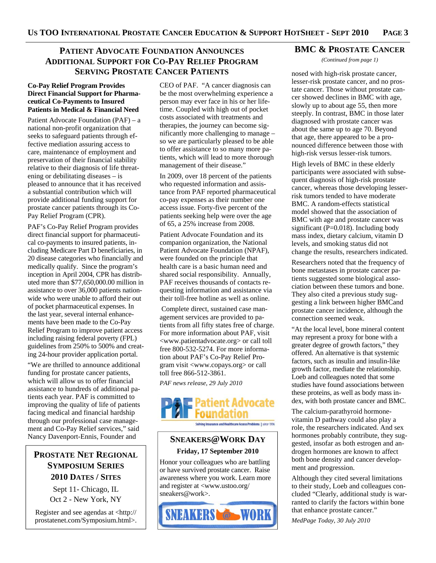# **PATIENT ADVOCATE FOUNDATION ANNOUNCES ADDITIONAL SUPPORT FOR CO-PAY RELIEF PROGRAM SERVING PROSTATE CANCER PATIENTS**

### **Co-Pay Relief Program Provides Direct Financial Support for Pharmaceutical Co-Payments to Insured Patients in Medical & Financial Need**

Patient Advocate Foundation (PAF) – a national non-profit organization that seeks to safeguard patients through effective mediation assuring access to care, maintenance of employment and preservation of their financial stability relative to their diagnosis of life threatening or debilitating diseases – is pleased to announce that it has received a substantial contribution which will provide additional funding support for prostate cancer patients through its Co-Pay Relief Program (CPR).

PAF's Co-Pay Relief Program provides direct financial support for pharmaceutical co-payments to insured patients, including Medicare Part D beneficiaries, in 20 disease categories who financially and medically qualify. Since the program's inception in April 2004, CPR has distributed more than \$77,650,000.00 million in assistance to over 36,000 patients nationwide who were unable to afford their out of pocket pharmaceutical expenses. In the last year, several internal enhancements have been made to the Co-Pay Relief Program to improve patient access including raising federal poverty (FPL) guidelines from 250% to 500% and creating 24-hour provider application portal.

"We are thrilled to announce additional funding for prostate cancer patients, which will allow us to offer financial assistance to hundreds of additional patients each year. PAF is committed to improving the quality of life of patients facing medical and financial hardship through our professional case management and Co-Pay Relief services," said Nancy Davenport-Ennis, Founder and

# **PROSTATE NET REGIONAL SYMPOSIUM SERIES 2010 DATES / SITES**

Sept 11- Chicago, IL Oct 2 - New York, NY

Register and see agendas at <http:// prostatenet.com/Symposium.html>.

CEO of PAF. "A cancer diagnosis can be the most overwhelming experience a person may ever face in his or her lifetime. Coupled with high out of pocket costs associated with treatments and therapies, the journey can become significantly more challenging to manage – so we are particularly pleased to be able to offer assistance to so many more patients, which will lead to more thorough management of their disease."

In 2009, over 18 percent of the patients who requested information and assistance from PAF reported pharmaceutical co-pay expenses as their number one access issue. Forty-five percent of the patients seeking help were over the age of 65, a 25% increase from 2008.

Patient Advocate Foundation and its companion organization, the National Patient Advocate Foundation (NPAF), were founded on the principle that health care is a basic human need and shared social responsibility. Annually, PAF receives thousands of contacts requesting information and assistance via their toll-free hotline as well as online.

 Complete direct, sustained case management services are provided to patients from all fifty states free of charge. For more information about PAF, visit <www.patientadvocate.org> or call toll free 800-532-5274. For more information about PAF's Co-Pay Relief Program visit <www.copays.org> or call toll free 866-512-3861.

*PAF news release, 29 July 2010* 



Solving Insurance and Healthcare Access Problems | since 1996

# **SNEAKERS@WORK DAY Friday, 17 September 2010**

Honor your colleagues who are battling or have survived prostate cancer. Raise awareness where you work. Learn more and register at <www.ustoo.org/ sneakers@work>.



## **BMC & PROSTATE CANCER**

*(Continued from page 1)* 

nosed with high-risk prostate cancer, lesser-risk prostate cancer, and no prostate cancer. Those without prostate cancer showed declines in BMC with age, slowly up to about age 55, then more steeply. In contrast, BMC in those later diagnosed with prostate cancer was about the same up to age 70. Beyond that age, there appeared to be a pronounced difference between those with high-risk versus lesser-risk tumors.

High levels of BMC in these elderly participants were associated with subsequent diagnosis of high-risk prostate cancer, whereas those developing lesserrisk tumors tended to have moderate BMC. A random-effects statistical model showed that the association of BMC with age and prostate cancer was significant (P=0.018). Including body mass index, dietary calcium, vitamin D levels, and smoking status did not change the results, researchers indicated.

Researchers noted that the frequency of bone metastases in prostate cancer patients suggested some biological association between these tumors and bone. They also cited a previous study suggesting a link between higher BMCand prostate cancer incidence, although the connection seemed weak.

"At the local level, bone mineral content may represent a proxy for bone with a greater degree of growth factors," they offered. An alternative is that systemic factors, such as insulin and insulin-like growth factor, mediate the relationship. Loeb and colleagues noted that some studies have found associations between these proteins, as well as body mass index, with both prostate cancer and BMC.

The calcium-parathyroid hormonevitamin D pathway could also play a role, the researchers indicated. And sex hormones probably contribute, they suggested, insofar as both estrogen and androgen hormones are known to affect both bone density and cancer development and progression.

Although they cited several limitations to their study, Loeb and colleagues concluded "Clearly, additional study is warranted to clarify the factors within bone that enhance prostate cancer."

*MedPage Today, 30 July 2010*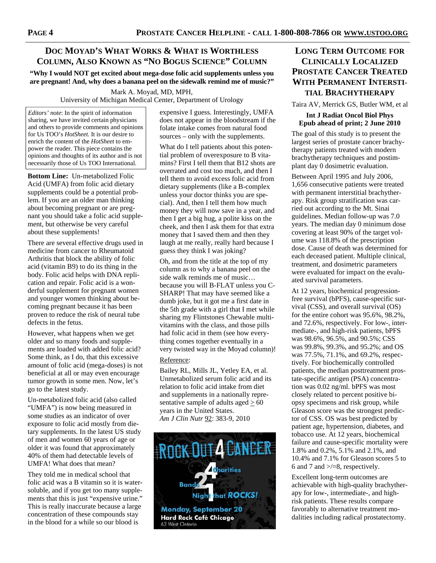## **DOC MOYAD'S WHAT WORKS & WHAT IS WORTHLESS COLUMN, ALSO KNOWN AS "NO BOGUS SCIENCE" COLUMN**

**"Why I would NOT get excited about mega-dose folic acid supplements unless you are pregnant! And, why does a banana peel on the sidewalk remind me of music?"** 

> Mark A. Moyad, MD, MPH, University of Michigan Medical Center, Department of Urology

*Editors' note*: In the spirit of information sharing, we have invited certain physicians and others to provide comments and opinions for Us TOO's *HotSheet.* It is our desire to enrich the content of the *HotSheet* to empower the reader. This piece contains the opinions and thoughts of its author and is not necessarily those of Us TOO International.

**Bottom Line:** Un-metabolized Folic Acid (UMFA) from folic acid dietary supplements could be a potential problem. If you are an older man thinking about becoming pregnant or are pregnant you should take a folic acid supplement, but otherwise be very careful about these supplements!

There are several effective drugs used in medicine from cancer to Rheumatoid Arthritis that block the ability of folic acid (vitamin B9) to do its thing in the body. Folic acid helps with DNA replication and repair. Folic acid is a wonderful supplement for pregnant women and younger women thinking about becoming pregnant because it has been proven to reduce the risk of neural tube defects in the fetus.

However, what happens when we get older and so many foods and supplements are loaded with added folic acid? Some think, as I do, that this excessive amount of folic acid (mega-doses) is not beneficial at all or may even encourage tumor growth in some men. Now, let's go to the latest study.

Un-metabolized folic acid (also called "UMFA") is now being measured in some studies as an indicator of over exposure to folic acid mostly from dietary supplements. In the latest US study of men and women 60 years of age or older it was found that approximately 40% of them had detectable levels of UMFA! What does that mean?

They told me in medical school that folic acid was a B vitamin so it is watersoluble, and if you get too many supplements that this is just "expensive urine." This is really inaccurate because a large concentration of these compounds stay in the blood for a while so our blood is

expensive I guess. Interestingly, UMFA does not appear in the bloodstream if the folate intake comes from natural food sources – only with the supplements.

What do I tell patients about this potential problem of overexposure to B vitamins? First I tell them that B12 shots are overrated and cost too much, and then I tell them to avoid excess folic acid from dietary supplements (like a B-complex unless your doctor thinks you are special). And, then I tell them how much money they will now save in a year, and then I get a big hug, a polite kiss on the cheek, and then I ask them for that extra money that I saved them and then they laugh at me really, really hard because I guess they think I was joking?

Oh, and from the title at the top of my column as to why a banana peel on the side walk reminds me of music… because you will B-FLAT unless you C-SHARP! That may have seemed like a dumb joke, but it got me a first date in the 5th grade with a girl that I met while sharing my Flintstones Chewable multivitamins with the class, and those pills had folic acid in them (see how everything comes together eventually in a very twisted way in the Moyad column)!

### Reference:

Bailey RL, Mills JL, Yetley EA, et al. Unmetabolized serum folic acid and its relation to folic acid intake from diet and supplements in a nationally representative sample of adults aged  $\geq 60$ years in the United States. *Am J Clin Nutr* 92: 383-9, 2010



# **LONG TERM OUTCOME FOR CLINICALLY LOCALIZED PROSTATE CANCER TREATED WITH PERMANENT INTERSTI-TIAL BRACHYTHERAPY**

Taira AV, Merrick GS, Butler WM, et al

## **Int J Radiat Oncol Biol Phys Epub ahead of print; 2 June 2010**

The goal of this study is to present the largest series of prostate cancer brachytherapy patients treated with modern brachytherapy techniques and postimplant day 0 dosimetric evaluation.

Between April 1995 and July 2006, 1,656 consecutive patients were treated with permanent interstitial brachytherapy. Risk group stratification was carried out according to the Mt. Sinai guidelines. Median follow-up was 7.0 years. The median day 0 minimum dose covering at least 90% of the target volume was 118.8% of the prescription dose. Cause of death was determined for each deceased patient. Multiple clinical, treatment, and dosimetric parameters were evaluated for impact on the evaluated survival parameters.

At 12 years, biochemical progressionfree survival (bPFS), cause-specific survival (CSS), and overall survival (OS) for the entire cohort was 95.6%, 98.2%, and 72.6%, respectively. For low-, intermediate-, and high-risk patients, bPFS was 98.6%, 96.5%, and 90.5%; CSS was 99.8%, 99.3%, and 95.2%; and OS was 77.5%, 71.1%, and 69.2%, respectively. For biochemically controlled patients, the median posttreatment prostate-specific antigen (PSA) concentration was 0.02 ng/ml. bPFS was most closely related to percent positive biopsy specimens and risk group, while Gleason score was the strongest predictor of CSS. OS was best predicted by patient age, hypertension, diabetes, and tobacco use. At 12 years, biochemical failure and cause-specific mortality were 1.8% and 0.2%, 5.1% and 2.1%, and 10.4% and 7.1% for Gleason scores 5 to 6 and 7 and >/=8, respectively.

Excellent long-term outcomes are achievable with high-quality brachytherapy for low-, intermediate-, and highrisk patients. These results compare favorably to alternative treatment modalities including radical prostatectomy.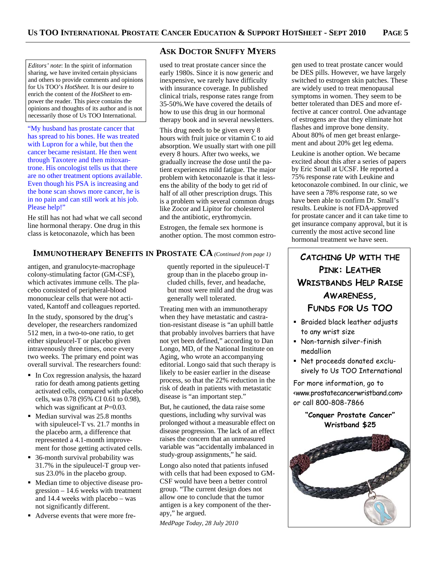*Editors' note*: In the spirit of information sharing, we have invited certain physicians and others to provide comments and opinions for Us TOO's *HotSheet.* It is our desire to enrich the content of the *HotSheet* to empower the reader. This piece contains the opinions and thoughts of its author and is not necessarily those of Us TOO International.

"My husband has prostate cancer that has spread to his bones. He was treated with Lupron for a while, but then the cancer became resistant. He then went through Taxotere and then mitoxantrone. His oncologist tells us that there are no other treatment options available. Even though his PSA is increasing and the bone scan shows more cancer, he is in no pain and can still work at his job. Please help!"

He still has not had what we call second line hormonal therapy. One drug in this class is ketoconazole, which has been

# **IMMUNOTHERAPY BENEFITS IN PROSTATE CA** (Continued from page 1) **CATCHING UP WITH THE**

antigen, and granulocyte-macrophage colony-stimulating factor (GM-CSF), which activates immune cells. The placebo consisted of peripheral-blood mononuclear cells that were not activated, Kantoff and colleagues reported.

In the study, sponsored by the drug's developer, the researchers randomized 512 men, in a two-to-one ratio, to get either sipuleucel-T or placebo given intravenously three times, once every two weeks. The primary end point was overall survival. The researchers found:

- In Cox regression analysis, the hazard ratio for death among patients getting activated cells, compared with placebo cells, was 0.78 (95% CI 0.61 to 0.98), which was significant at *P*=0.03.
- Median survival was 25.8 months with sipuleucel-T vs. 21.7 months in the placebo arm, a difference that represented a 4.1-month improvement for those getting activated cells.
- 36-month survival probability was 31.7% in the sipuleucel-T group versus 23.0% in the placebo group.
- Median time to objective disease progression – 14.6 weeks with treatment and 14.4 weeks with placebo – was not significantly different.
- Adverse events that were more fre-

## **ASK DOCTOR SNUFFY MYERS**

used to treat prostate cancer since the early 1980s. Since it is now generic and inexpensive, we rarely have difficulty with insurance coverage. In published clinical trials, response rates range from 35-50%.We have covered the details of how to use this drug in our hormonal therapy book and in several newsletters.

This drug needs to be given every 8 hours with fruit juice or vitamin C to aid absorption. We usually start with one pill every 8 hours. After two weeks, we gradually increase the dose until the patient experiences mild fatigue. The major problem with ketoconazole is that it lessens the ability of the body to get rid of half of all other prescription drugs. This is a problem with several common drugs like Zocor and Lipitor for cholesterol and the antibiotic, erythromycin.

Estrogen, the female sex hormone is another option. The most common estro-

quently reported in the sipuleucel-T group than in the placebo group included chills, fever, and headache, but most were mild and the drug was generally well tolerated.

Treating men with an immunotherapy when they have metastatic and castration-resistant disease is "an uphill battle that probably involves barriers that have not yet been defined," according to Dan Longo, MD, of the National Institute on Aging, who wrote an accompanying editorial. Longo said that such therapy is likely to be easier earlier in the disease process, so that the 22% reduction in the risk of death in patients with metastatic disease is "an important step."

But, he cautioned, the data raise some questions, including why survival was prolonged without a measurable effect on disease progression. The lack of an effect raises the concern that an unmeasured variable was "accidentally imbalanced in study-group assignments," he said.

Longo also noted that patients infused with cells that had been exposed to GM-CSF would have been a better control group. "The current design does not allow one to conclude that the tumor antigen is a key component of the therapy," he argued.

*MedPage Today, 28 July 2010* 

gen used to treat prostate cancer would be DES pills. However, we have largely switched to estrogen skin patches. These are widely used to treat menopausal symptoms in women. They seem to be better tolerated than DES and more effective at cancer control. One advantage of estrogens are that they eliminate hot flashes and improve bone density. About 80% of men get breast enlargement and about 20% get leg edema.

Leukine is another option. We became excited about this after a series of papers by Eric Small at UCSF. He reported a 75% response rate with Leukine and ketoconazole combined. In our clinic, we have seen a 78% response rate, so we have been able to confirm Dr. Small's results. Leukine is not FDA-approved for prostate cancer and it can take time to get insurance company approval, but it is currently the most active second line hormonal treatment we have seen.

# **PINK: LEATHER WRISTBANDS HELP RAISE AWARENESS, FUNDS FOR US TOO**

- **Braided black leather adjusts** to any wrist size
- Non-tarnish silver-finish medallion
- Net proceeds donated exclusively to Us TOO International

For more information, go to <www.prostatecancerwristband.com> or call 800-808-7866

## **"Conquer Prostate Cancer" Wristband \$25**

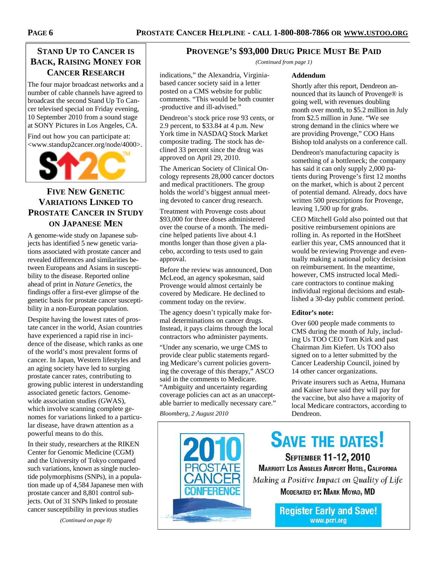# **STAND UP TO CANCER IS BACK, RAISING MONEY FOR CANCER RESEARCH**

The four major broadcast networks and a number of cable channels have agreed to broadcast the second Stand Up To Cancer televised special on Friday evening, 10 September 2010 from a sound stage at SONY Pictures in Los Angeles, CA.

Find out how you can participate at: <www.standup2cancer.org/node/4000>.



# **FIVE NEW GENETIC VARIATIONS LINKED TO PROSTATE CANCER IN STUDY ON JAPANESE MEN**

A genome-wide study on Japanese subjects has identified 5 new genetic variations associated with prostate cancer and revealed differences and similarities between Europeans and Asians in susceptibility to the disease. Reported online ahead of print in *Nature Genetics*, the findings offer a first-ever glimpse of the genetic basis for prostate cancer susceptibility in a non-European population.

Despite having the lowest rates of prostate cancer in the world, Asian countries have experienced a rapid rise in incidence of the disease, which ranks as one of the world's most prevalent forms of cancer. In Japan, Western lifestyles and an aging society have led to surging prostate cancer rates, contributing to growing public interest in understanding associated genetic factors. Genomewide association studies (GWAS), which involve scanning complete genomes for variations linked to a particular disease, have drawn attention as a powerful means to do this.

In their study, researchers at the RIKEN Center for Genomic Medicine (CGM) and the University of Tokyo compared such variations, known as single nucleotide polymorphisms (SNPs), in a population made up of 4,584 Japanese men with prostate cancer and 8,801 control subjects. Out of 31 SNPs linked to prostate cancer susceptibility in previous studies

*(Continued on page 8)* 

## **PROVENGE'S \$93,000 DRUG PRICE MUST BE PAID**

*(Continued from page 1)* 

### **Addendum**

Shortly after this report, Dendreon announced that its launch of Provenge® is going well, with revenues doubling month over month, to \$5.2 million in July from \$2.5 million in June. "We see strong demand in the clinics where we are providing Provenge," COO Hans Bishop told analysts on a conference call.

Dendreon's manufacturing capacity is something of a bottleneck; the company has said it can only supply 2,000 patients during Provenge's first 12 months on the market, which is about 2 percent of potential demand. Already, docs have written 500 prescriptions for Provenge, leaving 1,500 up for grabs.

CEO Mitchell Gold also pointed out that positive reimbursement opinions are rolling in. As reported in the HotSheet earlier this year, CMS announced that it would be reviewing Provenge and eventually making a national policy decision on reimbursement. In the meantime, however, CMS instructed local Medicare contractors to continue making individual regional decisions and established a 30-day public comment period.

### **Editor's note:**

Over 600 people made comments to CMS during the month of July, including Us TOO CEO Tom Kirk and past Chairman Jim Kiefert. Us TOO also signed on to a letter submitted by the Cancer Leadership Council, joined by 14 other cancer organizations.

Private insurers such as Aetna, Humana and Kaiser have said they will pay for the vaccine, but also have a majority of local Medicare contractors, according to Dendreon.

indications," the Alexandria, Virginiabased cancer society said in a letter posted on a CMS website for public comments. "This would be both counter -productive and ill-advised."

Dendreon's stock price rose 93 cents, or 2.9 percent, to \$33.84 at 4 p.m. New York time in NASDAQ Stock Market composite trading. The stock has declined 33 percent since the drug was approved on April 29, 2010.

The American Society of Clinical Oncology represents 28,000 cancer doctors and medical practitioners. The group holds the world's biggest annual meeting devoted to cancer drug research.

Treatment with Provenge costs about \$93,000 for three doses administered over the course of a month. The medicine helped patients live about 4.1 months longer than those given a placebo, according to tests used to gain approval.

Before the review was announced, Don McLeod, an agency spokesman, said Provenge would almost certainly be covered by Medicare. He declined to comment today on the review.

The agency doesn't typically make formal determinations on cancer drugs. Instead, it pays claims through the local contractors who administer payments.

"Under any scenario, we urge CMS to provide clear public statements regarding Medicare's current policies governing the coverage of this therapy," ASCO said in the comments to Medicare. "Ambiguity and uncertainty regarding coverage policies can act as an unacceptable barrier to medically necessary care."

*Bloomberg, 2 August 2010* 



**SAVE THE DATES!** SEPTEMBER 11-12, 2010 MARRIOTT LOS ANGELES AIRPORT HOTEL, CALIFORNIA Making a Positive Impact on Quality of Life MODERATED BY: MARK MOYAD, MD

> **Register Early and Save!** www.pcri.org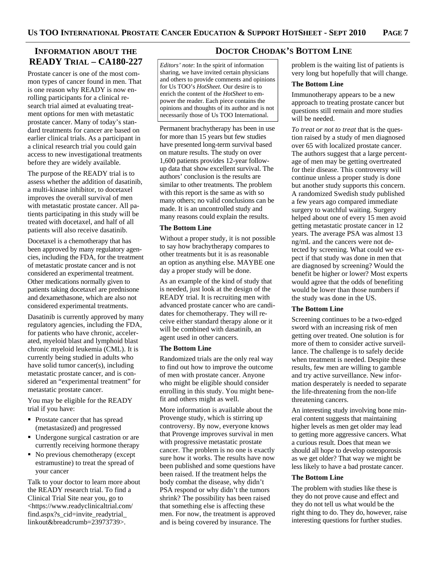## **INFORMATION ABOUT THE READY TRIAL – CA180-227**

Prostate cancer is one of the most common types of cancer found in men. That is one reason why READY is now enrolling participants for a clinical research trial aimed at evaluating treatment options for men with metastatic prostate cancer. Many of today's standard treatments for cancer are based on earlier clinical trials. As a participant in a clinical research trial you could gain access to new investigational treatments before they are widely available.

The purpose of the READY trial is to assess whether the addition of dasatinib, a multi-kinase inhibitor, to docetaxel improves the overall survival of men with metastatic prostate cancer. All patients participating in this study will be treated with docetaxel, and half of all patients will also receive dasatinib.

Docetaxel is a chemotherapy that has been approved by many regulatory agencies, including the FDA, for the treatment of metastatic prostate cancer and is not considered an experimental treatment. Other medications normally given to patients taking docetaxel are prednisone and dexamethasone, which are also not considered experimental treatments.

Dasatinib is currently approved by many regulatory agencies, including the FDA, for patients who have chronic, accelerated, myeloid blast and lymphoid blast chronic myeloid leukemia (CML). It is currently being studied in adults who have solid tumor cancer(s), including metastatic prostate cancer, and is considered an "experimental treatment" for metastatic prostate cancer.

You may be eligible for the READY trial if you have:

- Prostate cancer that has spread (metastasized) and progressed
- Undergone surgical castration or are currently receiving hormone therapy
- No previous chemotherapy (except estramustine) to treat the spread of your cancer

Talk to your doctor to learn more about the READY research trial. To find a Clinical Trial Site near you, go to <https://www.readyclinicaltrial.com/ find.aspx?s\_cid=invite\_readytrial\_ linkout&breadcrumb=23973739>.

## **DOCTOR CHODAK'S BOTTOM LINE**

*Editors' note*: In the spirit of information sharing, we have invited certain physicians and others to provide comments and opinions for Us TOO's *HotSheet.* Our desire is to enrich the content of the *HotSheet* to empower the reader. Each piece contains the opinions and thoughts of its author and is not necessarily those of Us TOO International.

Permanent brachytherapy has been in use for more than 15 years but few studies have presented long-term survival based on mature results. The study on over 1,600 patients provides 12-year followup data that show excellent survival. The authors' conclusion is the results are similar to other treatments. The problem with this report is the same as with so many others; no valid conclusions can be made. It is an uncontrolled study and many reasons could explain the results.

#### **The Bottom Line**

Without a proper study, it is not possible to say how brachytherapy compares to other treatments but it is as reasonable an option as anything else. MAYBE one day a proper study will be done.

As an example of the kind of study that is needed, just look at the design of the READY trial. It is recruiting men with advanced prostate cancer who are candidates for chemotherapy. They will receive either standard therapy alone or it will be combined with dasatinib, an agent used in other cancers.

#### **The Bottom Line**

Randomized trials are the only real way to find out how to improve the outcome of men with prostate cancer. Anyone who might be eligible should consider enrolling in this study. You might benefit and others might as well.

More information is available about the Provenge study, which is stirring up controversy. By now, everyone knows that Provenge improves survival in men with progressive metastatic prostate cancer. The problem is no one is exactly sure how it works. The results have now been published and some questions have been raised. If the treatment helps the body combat the disease, why didn't PSA respond or why didn't the tumors shrink? The possibility has been raised that something else is affecting these men. For now, the treatment is approved and is being covered by insurance. The

problem is the waiting list of patients is very long but hopefully that will change.

#### **The Bottom Line**

Immunotherapy appears to be a new approach to treating prostate cancer but questions still remain and more studies will be needed.

*To treat or not to treat* that is the question raised by a study of men diagnosed over 65 with localized prostate cancer. The authors suggest that a large percentage of men may be getting overtreated for their disease. This controversy will continue unless a proper study is done but another study supports this concern. A randomized Swedish study published a few years ago compared immediate surgery to watchful waiting. Surgery helped about one of every 15 men avoid getting metastatic prostate cancer in 12 years. The average PSA was almost 13 ng/mL and the cancers were not detected by screening. What could we expect if that study was done in men that are diagnosed by screening? Would the benefit be higher or lower? Most experts would agree that the odds of benefiting would be lower than those numbers if the study was done in the US.

#### **The Bottom Line**

Screening continues to be a two-edged sword with an increasing risk of men getting over treated. One solution is for more of them to consider active surveillance. The challenge is to safely decide when treatment is needed. Despite these results, few men are willing to gamble and try active surveillance. New information desperately is needed to separate the life-threatening from the non-life threatening cancers.

An interesting study involving bone mineral content suggests that maintaining higher levels as men get older may lead to getting more aggressive cancers. What a curious result. Does that mean we should all hope to develop osteoporosis as we get older? That way we might be less likely to have a bad prostate cancer.

### **The Bottom Line**

The problem with studies like these is they do not prove cause and effect and they do not tell us what would be the right thing to do. They do, however, raise interesting questions for further studies.